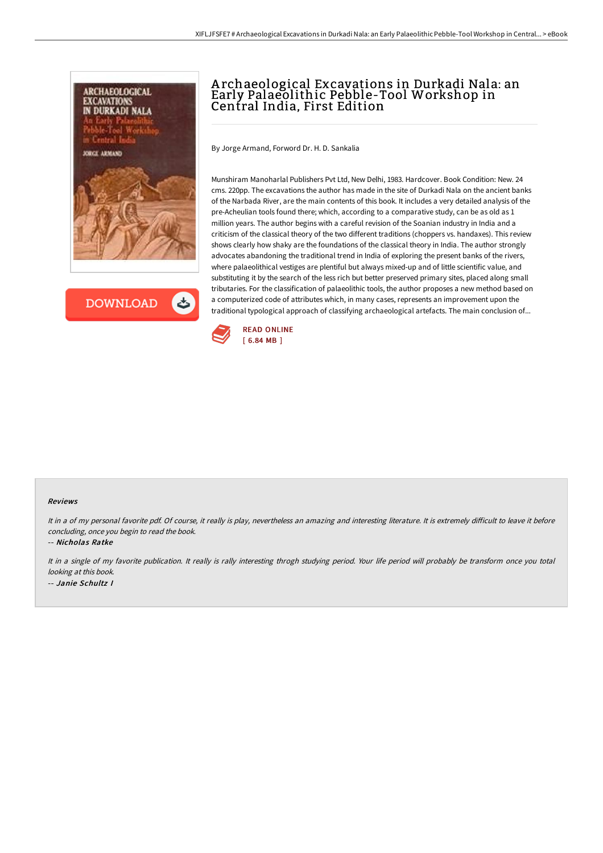

**DOWNLOAD** ٹ

## A rchaeological Excavations in Durkadi Nala: an Early Palaeolithic Pebble-Tool Workshop in Central India, First Edition

By Jorge Armand, Forword Dr. H. D. Sankalia

Munshiram Manoharlal Publishers Pvt Ltd, New Delhi, 1983. Hardcover. Book Condition: New. 24 cms. 220pp. The excavations the author has made in the site of Durkadi Nala on the ancient banks of the Narbada River, are the main contents of this book. It includes a very detailed analysis of the pre-Acheulian tools found there; which, according to a comparative study, can be as old as 1 million years. The author begins with a careful revision of the Soanian industry in India and a criticism of the classical theory of the two different traditions (choppers vs. handaxes). This review shows clearly how shaky are the foundations of the classical theory in India. The author strongly advocates abandoning the traditional trend in India of exploring the present banks of the rivers, where palaeolithical vestiges are plentiful but always mixed-up and of little scientific value, and substituting it by the search of the less rich but better preserved primary sites, placed along small tributaries. For the classification of palaeolithic tools, the author proposes a new method based on a computerized code of attributes which, in many cases, represents an improvement upon the traditional typological approach of classifying archaeological artefacts. The main conclusion of...



## Reviews

It in a of my personal favorite pdf. Of course, it really is play, nevertheless an amazing and interesting literature. It is extremely difficult to leave it before concluding, once you begin to read the book.

-- Nicholas Ratke

It in <sup>a</sup> single of my favorite publication. It really is rally interesting throgh studying period. Your life period will probably be transform once you total looking at this book. -- Janie Schultz I